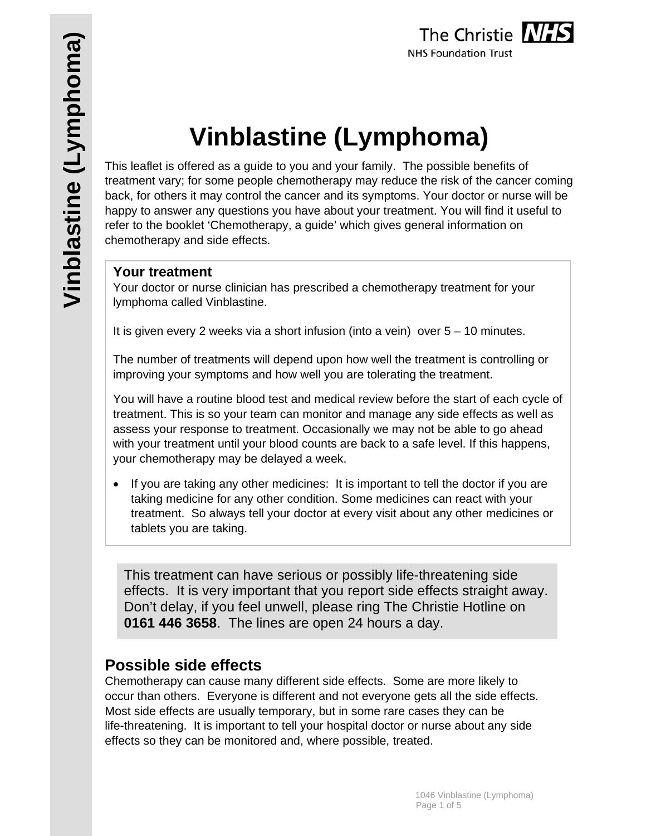# **Vinblastine (Lymphoma)**

This leaflet is offered as a guide to you and your family. The possible benefits of treatment vary; for some people chemotherapy may reduce the risk of the cancer coming back, for others it may control the cancer and its symptoms. Your doctor or nurse will be happy to answer any questions you have about your treatment. You will find it useful to refer to the booklet 'Chemotherapy, a guide' which gives general information on chemotherapy and side effects.

## **Your treatment**

Your doctor or nurse clinician has prescribed a chemotherapy treatment for your lymphoma called Vinblastine.

It is given every 2 weeks via a short infusion (into a vein) over  $5 - 10$  minutes.

The number of treatments will depend upon how well the treatment is controlling or improving your symptoms and how well you are tolerating the treatment.

You will have a routine blood test and medical review before the start of each cycle of treatment. This is so your team can monitor and manage any side effects as well as assess your response to treatment. Occasionally we may not be able to go ahead with your treatment until your blood counts are back to a safe level. If this happens, your chemotherapy may be delayed a week.

• If you are taking any other medicines: It is important to tell the doctor if you are taking medicine for any other condition. Some medicines can react with your treatment. So always tell your doctor at every visit about any other medicines or tablets you are taking.

This treatment can have serious or possibly life-threatening side effects. It is very important that you report side effects straight away. Don't delay, if you feel unwell, please ring The Christie Hotline on **0161 446 3658**. The lines are open 24 hours a day.

# **Possible side effects**

Chemotherapy can cause many different side effects. Some are more likely to occur than others. Everyone is different and not everyone gets all the side effects. Most side effects are usually temporary, but in some rare cases they can be life-threatening. It is important to tell your hospital doctor or nurse about any side effects so they can be monitored and, where possible, treated.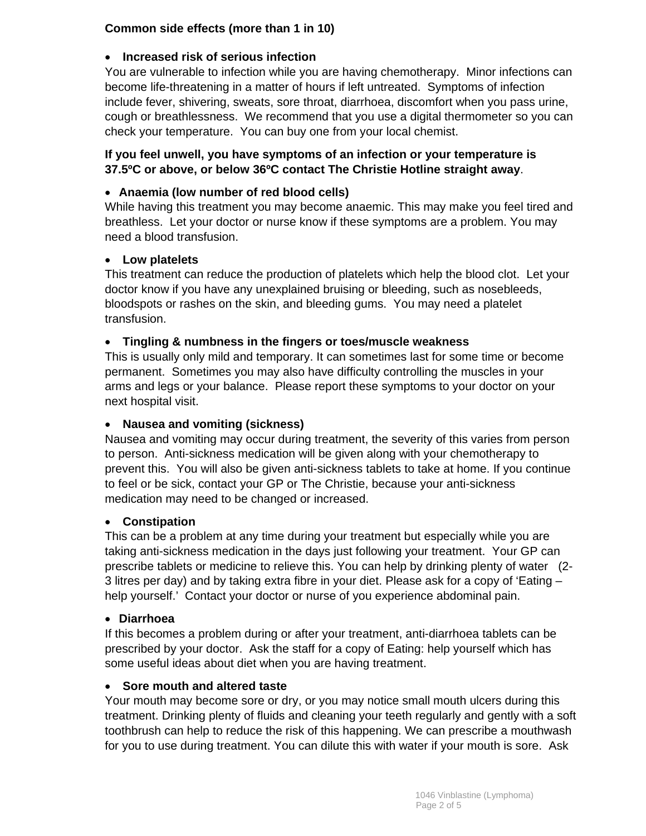#### **Common side effects (more than 1 in 10)**

#### **Increased risk of serious infection**

You are vulnerable to infection while you are having chemotherapy. Minor infections can become life-threatening in a matter of hours if left untreated. Symptoms of infection include fever, shivering, sweats, sore throat, diarrhoea, discomfort when you pass urine, cough or breathlessness. We recommend that you use a digital thermometer so you can check your temperature. You can buy one from your local chemist.

#### **If you feel unwell, you have symptoms of an infection or your temperature is 37.5ºC or above, or below 36ºC contact The Christie Hotline straight away**.

#### **Anaemia (low number of red blood cells)**

While having this treatment you may become anaemic. This may make you feel tired and breathless. Let your doctor or nurse know if these symptoms are a problem. You may need a blood transfusion.

#### **Low platelets**

This treatment can reduce the production of platelets which help the blood clot. Let your doctor know if you have any unexplained bruising or bleeding, such as nosebleeds, bloodspots or rashes on the skin, and bleeding gums. You may need a platelet transfusion.

#### **Tingling & numbness in the fingers or toes/muscle weakness**

This is usually only mild and temporary. It can sometimes last for some time or become permanent. Sometimes you may also have difficulty controlling the muscles in your arms and legs or your balance. Please report these symptoms to your doctor on your next hospital visit.

#### **Nausea and vomiting (sickness)**

Nausea and vomiting may occur during treatment, the severity of this varies from person to person. Anti-sickness medication will be given along with your chemotherapy to prevent this. You will also be given anti-sickness tablets to take at home. If you continue to feel or be sick, contact your GP or The Christie, because your anti-sickness medication may need to be changed or increased.

#### **Constipation**

This can be a problem at any time during your treatment but especially while you are taking anti-sickness medication in the days just following your treatment. Your GP can prescribe tablets or medicine to relieve this. You can help by drinking plenty of water (2- 3 litres per day) and by taking extra fibre in your diet. Please ask for a copy of 'Eating – help yourself.' Contact your doctor or nurse of you experience abdominal pain.

#### **Diarrhoea**

If this becomes a problem during or after your treatment, anti-diarrhoea tablets can be prescribed by your doctor. Ask the staff for a copy of Eating: help yourself which has some useful ideas about diet when you are having treatment.

#### **Sore mouth and altered taste**

Your mouth may become sore or dry, or you may notice small mouth ulcers during this treatment. Drinking plenty of fluids and cleaning your teeth regularly and gently with a soft toothbrush can help to reduce the risk of this happening. We can prescribe a mouthwash for you to use during treatment. You can dilute this with water if your mouth is sore. Ask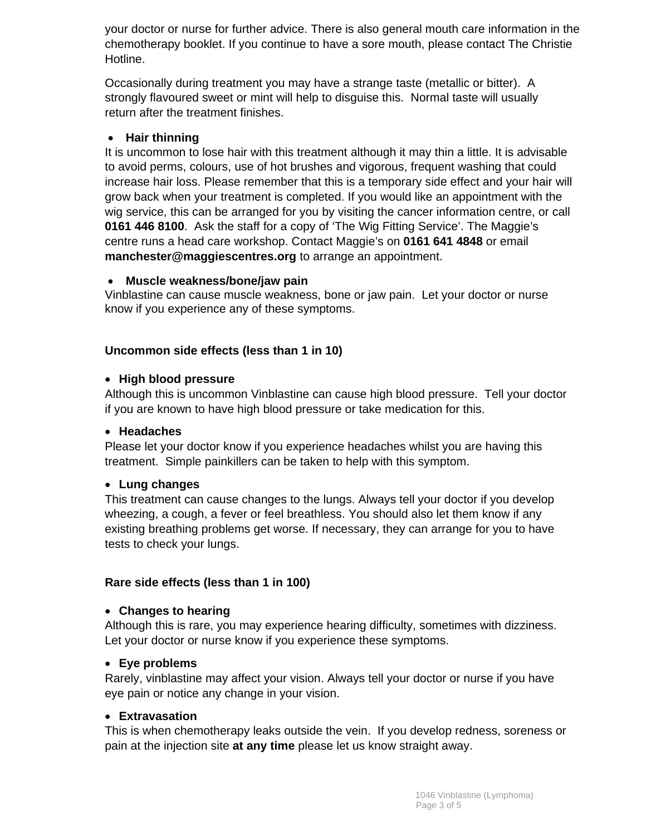your doctor or nurse for further advice. There is also general mouth care information in the chemotherapy booklet. If you continue to have a sore mouth, please contact The Christie Hotline.

Occasionally during treatment you may have a strange taste (metallic or bitter). A strongly flavoured sweet or mint will help to disguise this. Normal taste will usually return after the treatment finishes.

#### **Hair thinning**

It is uncommon to lose hair with this treatment although it may thin a little. It is advisable to avoid perms, colours, use of hot brushes and vigorous, frequent washing that could increase hair loss. Please remember that this is a temporary side effect and your hair will grow back when your treatment is completed. If you would like an appointment with the wig service, this can be arranged for you by visiting the cancer information centre, or call **0161 446 8100**. Ask the staff for a copy of 'The Wig Fitting Service'. The Maggie's centre runs a head care workshop. Contact Maggie's on **0161 641 4848** or email **manchester@maggiescentres.org** to arrange an appointment.

#### **Muscle weakness/bone/jaw pain**

Vinblastine can cause muscle weakness, bone or jaw pain. Let your doctor or nurse know if you experience any of these symptoms.

#### **Uncommon side effects (less than 1 in 10)**

#### **High blood pressure**

Although this is uncommon Vinblastine can cause high blood pressure. Tell your doctor if you are known to have high blood pressure or take medication for this.

#### **Headaches**

Please let your doctor know if you experience headaches whilst you are having this treatment. Simple painkillers can be taken to help with this symptom.

#### **Lung changes**

This treatment can cause changes to the lungs. Always tell your doctor if you develop wheezing, a cough, a fever or feel breathless. You should also let them know if any existing breathing problems get worse. If necessary, they can arrange for you to have tests to check your lungs.

#### **Rare side effects (less than 1 in 100)**

#### **Changes to hearing**

Although this is rare, you may experience hearing difficulty, sometimes with dizziness. Let your doctor or nurse know if you experience these symptoms.

#### **Eye problems**

Rarely, vinblastine may affect your vision. Always tell your doctor or nurse if you have eye pain or notice any change in your vision.

#### **Extravasation**

This is when chemotherapy leaks outside the vein. If you develop redness, soreness or pain at the injection site **at any time** please let us know straight away.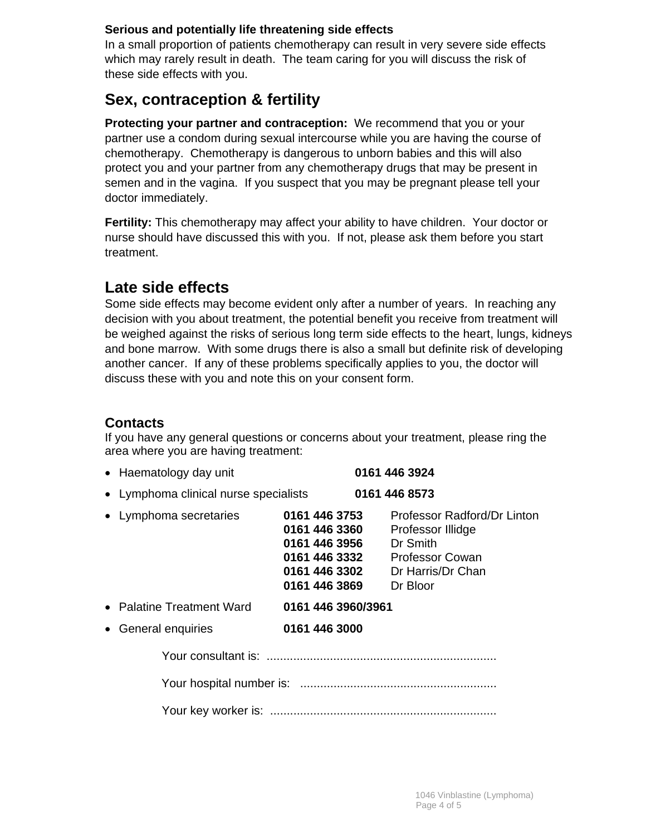#### **Serious and potentially life threatening side effects**

In a small proportion of patients chemotherapy can result in very severe side effects which may rarely result in death. The team caring for you will discuss the risk of these side effects with you.

# **Sex, contraception & fertility**

**Protecting your partner and contraception:** We recommend that you or your partner use a condom during sexual intercourse while you are having the course of chemotherapy. Chemotherapy is dangerous to unborn babies and this will also protect you and your partner from any chemotherapy drugs that may be present in semen and in the vagina. If you suspect that you may be pregnant please tell your doctor immediately.

**Fertility:** This chemotherapy may affect your ability to have children. Your doctor or nurse should have discussed this with you. If not, please ask them before you start treatment.

# **Late side effects**

Some side effects may become evident only after a number of years. In reaching any decision with you about treatment, the potential benefit you receive from treatment will be weighed against the risks of serious long term side effects to the heart, lungs, kidneys and bone marrow. With some drugs there is also a small but definite risk of developing another cancer. If any of these problems specifically applies to you, the doctor will discuss these with you and note this on your consent form.

## **Contacts**

If you have any general questions or concerns about your treatment, please ring the area where you are having treatment:

| • Haematology day unit                |                                                                                                    | 0161 446 3924                                                                                                           |
|---------------------------------------|----------------------------------------------------------------------------------------------------|-------------------------------------------------------------------------------------------------------------------------|
| • Lymphoma clinical nurse specialists |                                                                                                    | 0161 446 8573                                                                                                           |
| • Lymphoma secretaries                | 0161 446 3753<br>0161 446 3360<br>0161 446 3956<br>0161 446 3332<br>0161 446 3302<br>0161 446 3869 | Professor Radford/Dr Linton<br>Professor Illidge<br>Dr Smith<br><b>Professor Cowan</b><br>Dr Harris/Dr Chan<br>Dr Bloor |
| • Palatine Treatment Ward             | 0161 446 3960/3961                                                                                 |                                                                                                                         |
| • General enquiries                   | 0161 446 3000                                                                                      |                                                                                                                         |
|                                       |                                                                                                    |                                                                                                                         |
|                                       |                                                                                                    |                                                                                                                         |